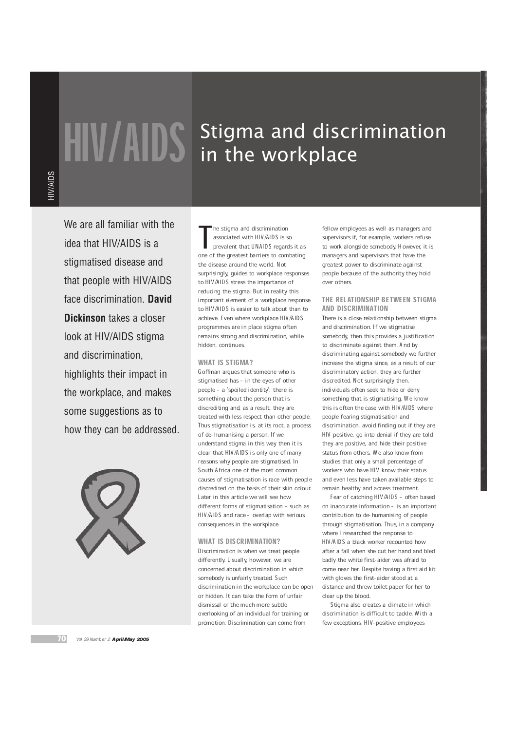# **HIV/AIDS** Stigma and discrimination in the workplace

We are all familiar with the idea that HIV/AIDS is a stigmatised disease and that people with HIV/AIDS face discrimination. **David Dickinson** takes a closer look at HIV/AIDS stigma and discrimination, highlights their impact in the workplace, and makes some suggestions as to how they can be addressed.



The stigma and discrimination<br>associated with HIV/AIDS is so<br>prevalent that UNAIDS regards it as<br>one of the greatest barriers to combating he stigma and discrimination associated with HIV/AIDS is so prevalent that UNAIDS regards it as the disease around the world. Not surprisingly, guides to workplace responses to HIV/AIDS stress the importance of reducing the stigma. But in reality this important element of a workplace response to HIV/AIDS is easier to talk about than to achieve. Even where workplace HIV/AIDS programmes are in place stigma often remains strong and discrimination, while hidden, continues.

## WHAT IS STIGMA?

Goffman argues that someone who is stigmatised has - in the eyes of other people - a 'spoiled identity': there is something about the person that is discrediting and, as a result, they are treated with less respect than other people. Thus stigmatisation is, at its root, a process of de-humanising a person. If we understand stigma in this way then it is clear that HIV/AIDS is only one of many reasons why people are stigmatised. In South Africa one of the most common causes of stigmatisation is race with people discredited on the basis of their skin colour. Later in this article we will see how different forms of stigmatisation - such as HIV/AIDS and race - overlap with serious consequences in the workplace.

### WHAT IS DISCRIMINATION?

Discrimination is when we treat people differently. Usually, however, we are concerned about discrimination in which somebody is unfairly treated. Such discrimination in the workplace can be open or hidden. It can take the form of unfair dismissal or the much more subtle overlooking of an individual for training or promotion. Discrimination can come from

fellow employees as well as managers and supervisors if, for example, workers refuse to work alongside somebody. However, it is managers and supervisors that have the greatest power to discriminate against people because of the authority they hold over others.

# THE RELATIONSHIP BETWEEN STIGMA AND DISCRIMINATION

There is a close relationship between stigma and discrimination. If we stigmatise somebody, then this provides a justification to discriminate against them. And by discriminating against somebody we further increase the stigma since, as a result of our discriminatory action, they are further discredited. Not surprisingly then, individuals often seek to hide or deny something that is stigmatising. We know this is often the case with HIV/AIDS where people fearing stigmatisation and discrimination, avoid finding out if they are HIV positive, go into denial if they are told they are positive, and hide their positive status from others. We also know from studies that only a small percentage of workers who have HIV know their status and even less have taken available steps to remain healthy and access treatment.

Fear of catching HIV/AIDS - often based on inaccurate information - is an important contribution to de-humanising of people through stigmatisation. Thus, in a company where I researched the response to HIV/AIDS a black worker recounted how after a fall when she cut her hand and bled badly the white first-aider was afraid to come near her. Despite having a first aid kit with gloves the first-aider stood at a distance and threw toilet paper for her to clear up the blood.

Stigma also creates a climate in which discrimination is difficult to tackle. With a few exceptions, HIV-positive employees

70 Vol 29 Number 2 **April May 2005**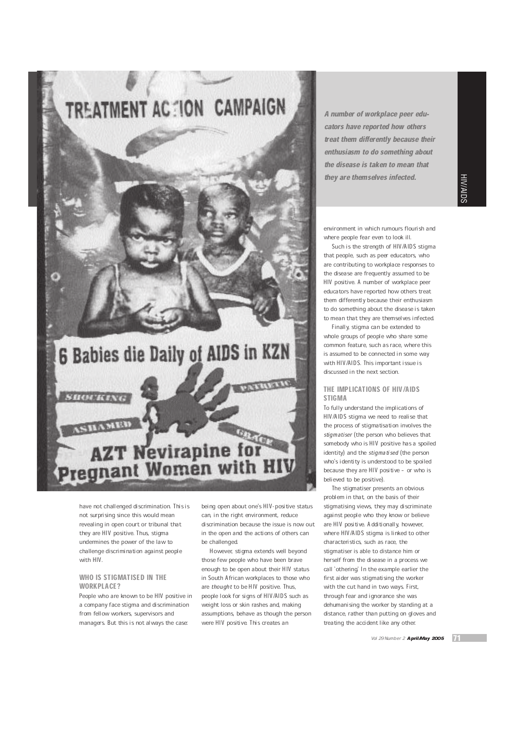

have not challenged discrimination. This is not surprising since this would mean revealing in open court or tribunal that they are HIV positive. Thus, stigma undermines the power of the law to challenge discrimination against people with HIV.

## WHO IS STIGMATISED IN THE WORKPLACE?

People who are known to be HIV positive in a company face stigma and discrimination from fellow workers, supervisors and managers. But this is not always the case:

being open about one's HIV-positive status can, in the right environment, reduce discrimination because the issue is now out in the open and the actions of others can be challenged.

However, stigma extends well beyond those few people who have been brave enough to be open about their HIV status in South African workplaces to those who are thought to be HIV positive. Thus, people look for signs of HIV/AIDS such as weight loss or skin rashes and, making assumptions, behave as though the person were HIV positive. This creates an

A number of workplace peer educators have reported how others treat them differently because their enthusiasm to do something about the disease is taken to mean that they are themselves infected.

HIV/AIDS

environment in which rumours flourish and where people fear even to look ill.

Such is the strength of HIV/AIDS stigma that people, such as peer educators, who are contributing to workplace responses to the disease are frequently assumed to be HIV positive. A number of workplace peer educators have reported how others treat them differently because their enthusiasm to do something about the disease is taken to mean that they are themselves infected.

Finally, stigma can be extended to whole groups of people who share some common feature, such as race, where this is assumed to be connected in some way with HIV/AIDS. This important issue is discussed in the next section.

# THE IMPLICATIONS OF HIV/AIDS **STIGMA**

To fully understand the implications of HIV/AIDS stigma we need to realise that the process of stigmatisation involves the stigmatiser (the person who believes that somebody who is HIV positive has a spoiled identity) and the stigmatised (the person who's identity is understood to be spoiled because they are HIV positive - or who is believed to be positive).

The stigmatiser presents an obvious problem in that, on the basis of their stigmatising views, they may discriminate against people who they know or believe are HIV positive. Additionally, however, where HIV/AIDS stigma is linked to other characteristics, such as race, the stigmatiser is able to distance him or herself from the disease in a process we call `othering.' In the example earlier the first aider was stigmatising the worker with the cut hand in two ways. First, through fear and ignorance she was dehumanising the worker by standing at a distance, rather than putting on gloves and treating the accident like any other.